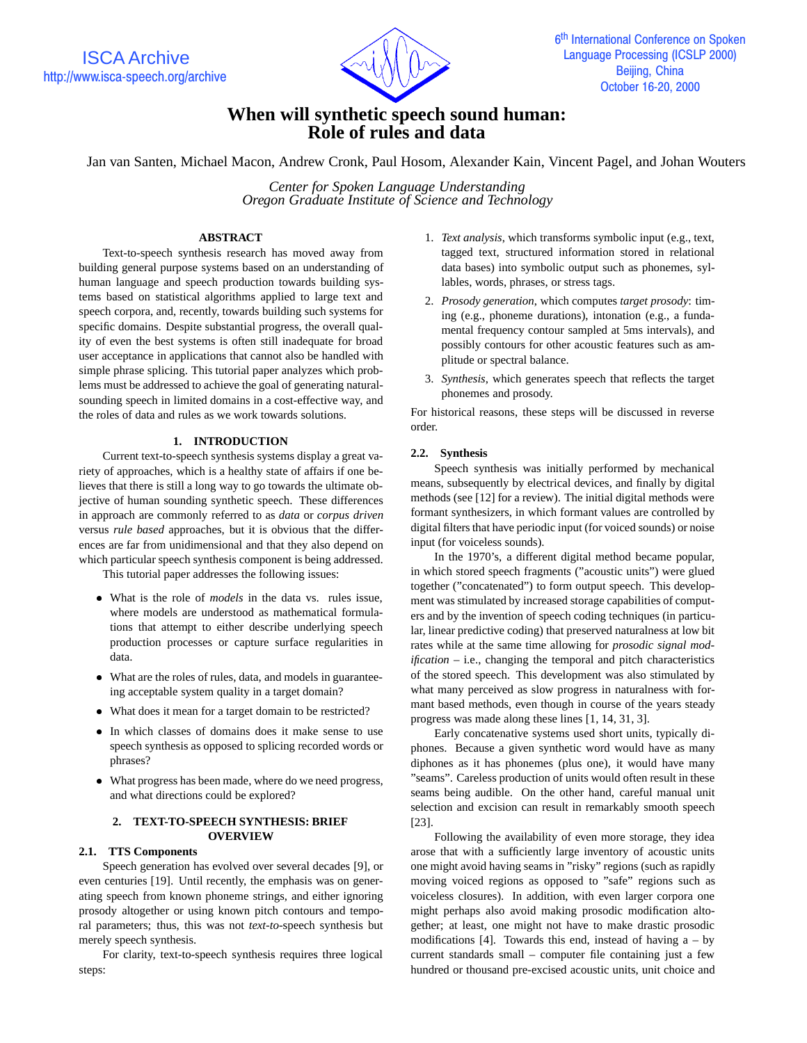

# **When will synthetic speech sound human: Role of rules and data**

Jan van Santen, Michael Macon, Andrew Cronk, Paul Hosom, Alexander Kain, Vincent Pagel, and Johan Wouters

*Center for Spoken Language Understanding Oregon Graduate Institute of Science and Technology*

# **ABSTRACT**

Text-to-speech synthesis research has moved away from building general purpose systems based on an understanding of human language and speech production towards building systems based on statistical algorithms applied to large text and speech corpora, and, recently, towards building such systems for specific domains. Despite substantial progress, the overall quality of even the best systems is often still inadequate for broad user acceptance in applications that cannot also be handled with simple phrase splicing. This tutorial paper analyzes which problems must be addressed to achieve the goal of generating naturalsounding speech in limited domains in a cost-effective way, and the roles of data and rules as we work towards solutions.

# **1. INTRODUCTION**

Current text-to-speech synthesis systems display a great variety of approaches, which is a healthy state of affairs if one believes that there is still a long way to go towards the ultimate objective of human sounding synthetic speech. These differences in approach are commonly referred to as *data* or *corpus driven* versus *rule based* approaches, but it is obvious that the differences are far from unidimensional and that they also depend on which particular speech synthesis component is being addressed.

This tutorial paper addresses the following issues:

- What is the role of *models* in the data vs. rules issue, where models are understood as mathematical formulations that attempt to either describe underlying speech production processes or capture surface regularities in data.
- What are the roles of rules, data, and models in guaranteeing acceptable system quality in a target domain?
- What does it mean for a target domain to be restricted?
- In which classes of domains does it make sense to use speech synthesis as opposed to splicing recorded words or phrases?
- What progress has been made, where do we need progress, and what directions could be explored?

# **2. TEXT-TO-SPEECH SYNTHESIS: BRIEF OVERVIEW**

## **2.1. TTS Components**

Speech generation has evolved over several decades [9], or even centuries [19]. Until recently, the emphasis was on generating speech from known phoneme strings, and either ignoring prosody altogether or using known pitch contours and temporal parameters; thus, this was not *text-to-*speech synthesis but merely speech synthesis.

For clarity, text-to-speech synthesis requires three logical steps:

- 1. *Text analysis*, which transforms symbolic input (e.g., text, tagged text, structured information stored in relational data bases) into symbolic output such as phonemes, syllables, words, phrases, or stress tags.
- 2. *Prosody generation*, which computes *target prosody*: timing (e.g., phoneme durations), intonation (e.g., a fundamental frequency contour sampled at 5ms intervals), and possibly contours for other acoustic features such as amplitude or spectral balance.
- 3. *Synthesis*, which generates speech that reflects the target phonemes and prosody.

For historical reasons, these steps will be discussed in reverse order.

# **2.2. Synthesis**

Speech synthesis was initially performed by mechanical means, subsequently by electrical devices, and finally by digital methods (see [12] for a review). The initial digital methods were formant synthesizers, in which formant values are controlled by digital filters that have periodic input (for voiced sounds) or noise input (for voiceless sounds).

In the 1970's, a different digital method became popular, in which stored speech fragments ("acoustic units") were glued together ("concatenated") to form output speech. This development was stimulated by increased storage capabilities of computers and by the invention of speech coding techniques (in particular, linear predictive coding) that preserved naturalness at low bit rates while at the same time allowing for *prosodic signal modification* – i.e., changing the temporal and pitch characteristics of the stored speech. This development was also stimulated by what many perceived as slow progress in naturalness with formant based methods, even though in course of the years steady progress was made along these lines [1, 14, 31, 3].

Early concatenative systems used short units, typically diphones. Because a given synthetic word would have as many diphones as it has phonemes (plus one), it would have many "seams". Careless production of units would often result in these seams being audible. On the other hand, careful manual unit selection and excision can result in remarkably smooth speech [23].

Following the availability of even more storage, they idea arose that with a sufficiently large inventory of acoustic units one might avoid having seams in "risky" regions (such as rapidly moving voiced regions as opposed to "safe" regions such as voiceless closures). In addition, with even larger corpora one might perhaps also avoid making prosodic modification altogether; at least, one might not have to make drastic prosodic modifications [4]. Towards this end, instead of having  $a - by$ current standards small – computer file containing just a few hundred or thousand pre-excised acoustic units, unit choice and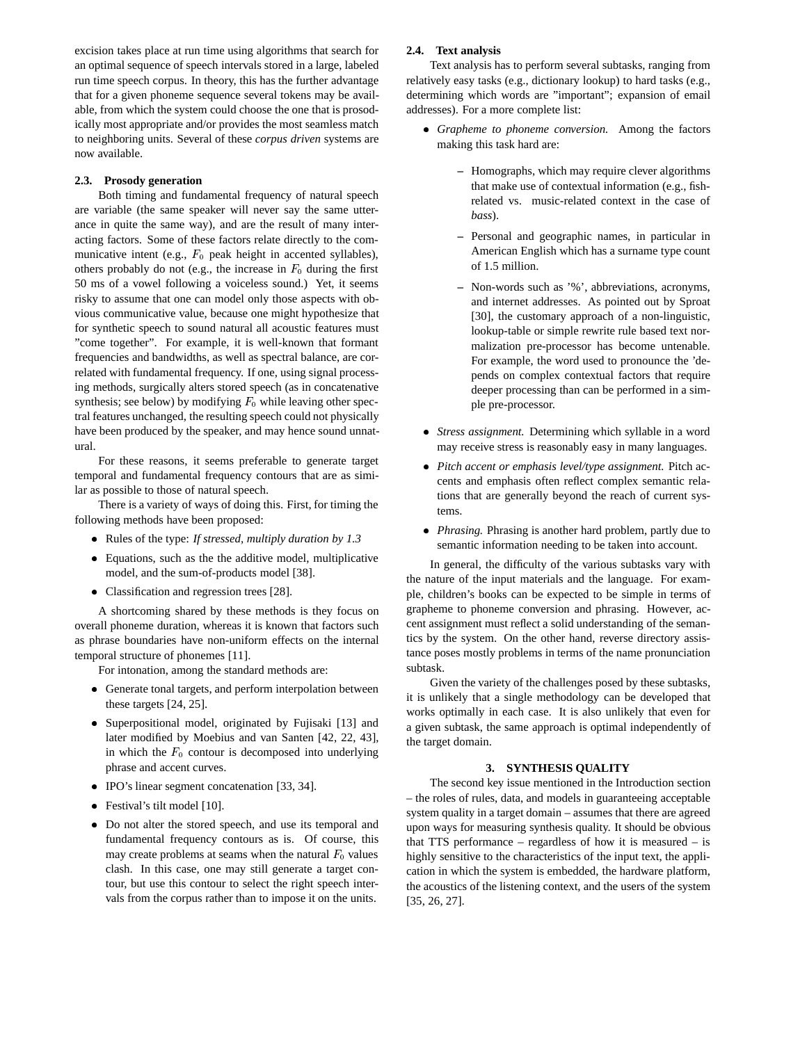excision takes place at run time using algorithms that search for an optimal sequence of speech intervals stored in a large, labeled run time speech corpus. In theory, this has the further advantage that for a given phoneme sequence several tokens may be available, from which the system could choose the one that is prosodically most appropriate and/or provides the most seamless match to neighboring units. Several of these *corpus driven* systems are now available.

# **2.3. Prosody generation**

Both timing and fundamental frequency of natural speech are variable (the same speaker will never say the same utterance in quite the same way), and are the result of many interacting factors. Some of these factors relate directly to the communicative intent (e.g.,  $F_0$  peak height in accented syllables), others probably do not (e.g., the increase in  $F_0$  during the first 50 ms of a vowel following a voiceless sound.) Yet, it seems risky to assume that one can model only those aspects with obvious communicative value, because one might hypothesize that for synthetic speech to sound natural all acoustic features must "come together". For example, it is well-known that formant frequencies and bandwidths, as well as spectral balance, are correlated with fundamental frequency. If one, using signal processing methods, surgically alters stored speech (as in concatenative synthesis; see below) by modifying  $F_0$  while leaving other spectral features unchanged, the resulting speech could not physically have been produced by the speaker, and may hence sound unnatural.

For these reasons, it seems preferable to generate target temporal and fundamental frequency contours that are as similar as possible to those of natural speech.

There is a variety of ways of doing this. First, for timing the following methods have been proposed:

- Rules of the type: *If stressed, multiply duration by 1.3*
- Equations, such as the the additive model, multiplicative model, and the sum-of-products model [38].
- Classification and regression trees [28].

A shortcoming shared by these methods is they focus on overall phoneme duration, whereas it is known that factors such as phrase boundaries have non-uniform effects on the internal temporal structure of phonemes [11].

For intonation, among the standard methods are:

- Generate tonal targets, and perform interpolation between these targets [24, 25].
- Superpositional model, originated by Fujisaki [13] and later modified by Moebius and van Santen [42, 22, 43], in which the  $F_0$  contour is decomposed into underlying phrase and accent curves.
- IPO's linear segment concatenation [33, 34].
- Festival's tilt model [10].
- Do not alter the stored speech, and use its temporal and fundamental frequency contours as is. Of course, this may create problems at seams when the natural  $F_0$  values clash. In this case, one may still generate a target contour, but use this contour to select the right speech intervals from the corpus rather than to impose it on the units.

## **2.4. Text analysis**

Text analysis has to perform several subtasks, ranging from relatively easy tasks (e.g., dictionary lookup) to hard tasks (e.g., determining which words are "important"; expansion of email addresses). For a more complete list:

- *Grapheme to phoneme conversion.* Among the factors making this task hard are:
	- **–** Homographs, which may require clever algorithms that make use of contextual information (e.g., fishrelated vs. music-related context in the case of *bass*).
	- **–** Personal and geographic names, in particular in American English which has a surname type count of 1.5 million.
	- **–** Non-words such as '%', abbreviations, acronyms, and internet addresses. As pointed out by Sproat [30], the customary approach of a non-linguistic, lookup-table or simple rewrite rule based text normalization pre-processor has become untenable. For example, the word used to pronounce the 'depends on complex contextual factors that require deeper processing than can be performed in a simple pre-processor.
- *Stress assignment.* Determining which syllable in a word may receive stress is reasonably easy in many languages.
- *Pitch accent or emphasis level/type assignment.* Pitch accents and emphasis often reflect complex semantic relations that are generally beyond the reach of current systems.
- *Phrasing.* Phrasing is another hard problem, partly due to semantic information needing to be taken into account.

In general, the difficulty of the various subtasks vary with the nature of the input materials and the language. For example, children's books can be expected to be simple in terms of grapheme to phoneme conversion and phrasing. However, accent assignment must reflect a solid understanding of the semantics by the system. On the other hand, reverse directory assistance poses mostly problems in terms of the name pronunciation subtask.

Given the variety of the challenges posed by these subtasks, it is unlikely that a single methodology can be developed that works optimally in each case. It is also unlikely that even for a given subtask, the same approach is optimal independently of the target domain.

# **3. SYNTHESIS QUALITY**

The second key issue mentioned in the Introduction section – the roles of rules, data, and models in guaranteeing acceptable system quality in a target domain – assumes that there are agreed upon ways for measuring synthesis quality. It should be obvious that TTS performance  $-$  regardless of how it is measured  $-$  is highly sensitive to the characteristics of the input text, the application in which the system is embedded, the hardware platform, the acoustics of the listening context, and the users of the system [35, 26, 27].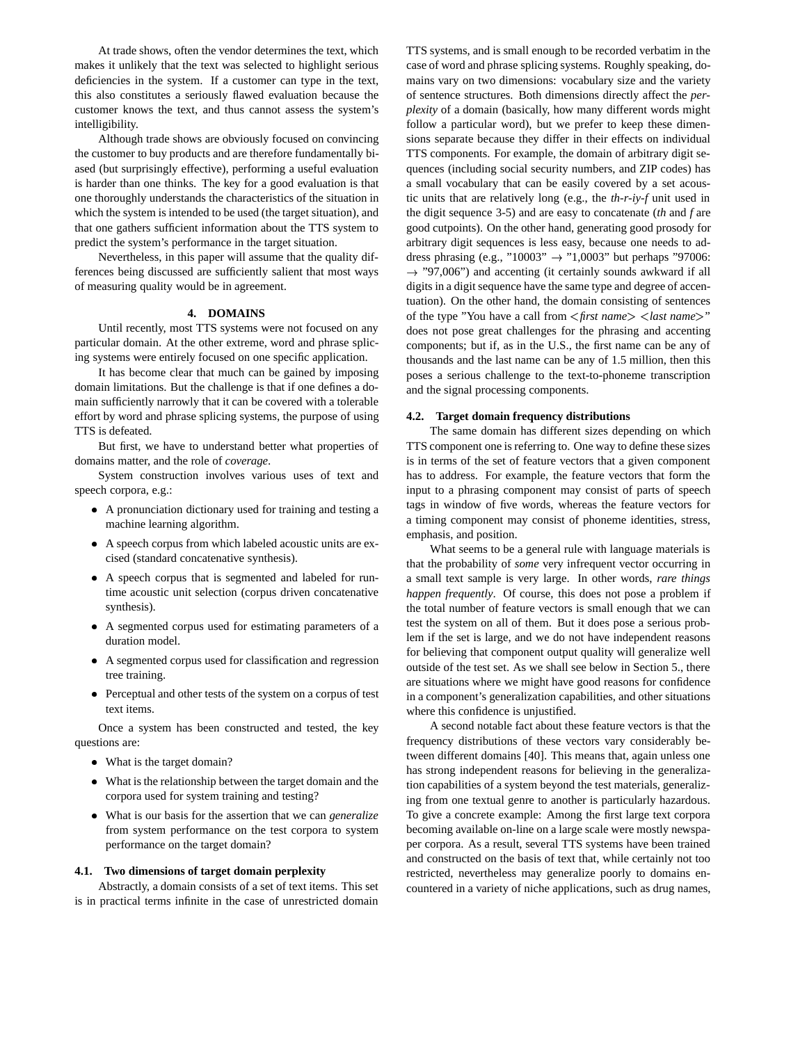At trade shows, often the vendor determines the text, which makes it unlikely that the text was selected to highlight serious deficiencies in the system. If a customer can type in the text, this also constitutes a seriously flawed evaluation because the customer knows the text, and thus cannot assess the system's intelligibility.

Although trade shows are obviously focused on convincing the customer to buy products and are therefore fundamentally biased (but surprisingly effective), performing a useful evaluation is harder than one thinks. The key for a good evaluation is that one thoroughly understands the characteristics of the situation in which the system is intended to be used (the target situation), and that one gathers sufficient information about the TTS system to predict the system's performance in the target situation.

Nevertheless, in this paper will assume that the quality differences being discussed are sufficiently salient that most ways of measuring quality would be in agreement.

## **4. DOMAINS**

Until recently, most TTS systems were not focused on any particular domain. At the other extreme, word and phrase splicing systems were entirely focused on one specific application.

It has become clear that much can be gained by imposing domain limitations. But the challenge is that if one defines a domain sufficiently narrowly that it can be covered with a tolerable effort by word and phrase splicing systems, the purpose of using TTS is defeated.

But first, we have to understand better what properties of domains matter, and the role of *coverage*.

System construction involves various uses of text and speech corpora, e.g.:

- A pronunciation dictionary used for training and testing a machine learning algorithm.
- A speech corpus from which labeled acoustic units are excised (standard concatenative synthesis).
- A speech corpus that is segmented and labeled for runtime acoustic unit selection (corpus driven concatenative synthesis).
- A segmented corpus used for estimating parameters of a duration model.
- A segmented corpus used for classification and regression tree training.
- Perceptual and other tests of the system on a corpus of test text items.

Once a system has been constructed and tested, the key questions are:

- What is the target domain?
- What is the relationship between the target domain and the corpora used for system training and testing?
- What is our basis for the assertion that we can *generalize* from system performance on the test corpora to system performance on the target domain?

#### **4.1. Two dimensions of target domain perplexity**

Abstractly, a domain consists of a set of text items. This set is in practical terms infinite in the case of unrestricted domain TTS systems, and is small enough to be recorded verbatim in the case of word and phrase splicing systems. Roughly speaking, domains vary on two dimensions: vocabulary size and the variety of sentence structures. Both dimensions directly affect the *perplexity* of a domain (basically, how many different words might follow a particular word), but we prefer to keep these dimensions separate because they differ in their effects on individual TTS components. For example, the domain of arbitrary digit sequences (including social security numbers, and ZIP codes) has a small vocabulary that can be easily covered by a set acoustic units that are relatively long (e.g., the *th-r-iy-f* unit used in the digit sequence 3-5) and are easy to concatenate (*th* and *f* are good cutpoints). On the other hand, generating good prosody for arbitrary digit sequences is less easy, because one needs to address phrasing (e.g., "10003"  $\rightarrow$  "1,0003" but perhaps "97006:  $\rightarrow$  "97,006") and accenting (it certainly sounds awkward if all digits in a digit sequence have the same type and degree of accentuation). On the other hand, the domain consisting of sentences of the type "You have a call from <sup>&</sup>lt;*first name*> <*last name*>" does not pose great challenges for the phrasing and accenting components; but if, as in the U.S., the first name can be any of thousands and the last name can be any of 1.5 million, then this poses a serious challenge to the text-to-phoneme transcription and the signal processing components.

#### **4.2. Target domain frequency distributions**

The same domain has different sizes depending on which TTS component one is referring to. One way to define these sizes is in terms of the set of feature vectors that a given component has to address. For example, the feature vectors that form the input to a phrasing component may consist of parts of speech tags in window of five words, whereas the feature vectors for a timing component may consist of phoneme identities, stress, emphasis, and position.

What seems to be a general rule with language materials is that the probability of *some* very infrequent vector occurring in a small text sample is very large. In other words, *rare things happen frequently*. Of course, this does not pose a problem if the total number of feature vectors is small enough that we can test the system on all of them. But it does pose a serious problem if the set is large, and we do not have independent reasons for believing that component output quality will generalize well outside of the test set. As we shall see below in Section 5., there are situations where we might have good reasons for confidence in a component's generalization capabilities, and other situations where this confidence is unjustified.

A second notable fact about these feature vectors is that the frequency distributions of these vectors vary considerably between different domains [40]. This means that, again unless one has strong independent reasons for believing in the generalization capabilities of a system beyond the test materials, generalizing from one textual genre to another is particularly hazardous. To give a concrete example: Among the first large text corpora becoming available on-line on a large scale were mostly newspaper corpora. As a result, several TTS systems have been trained and constructed on the basis of text that, while certainly not too restricted, nevertheless may generalize poorly to domains encountered in a variety of niche applications, such as drug names,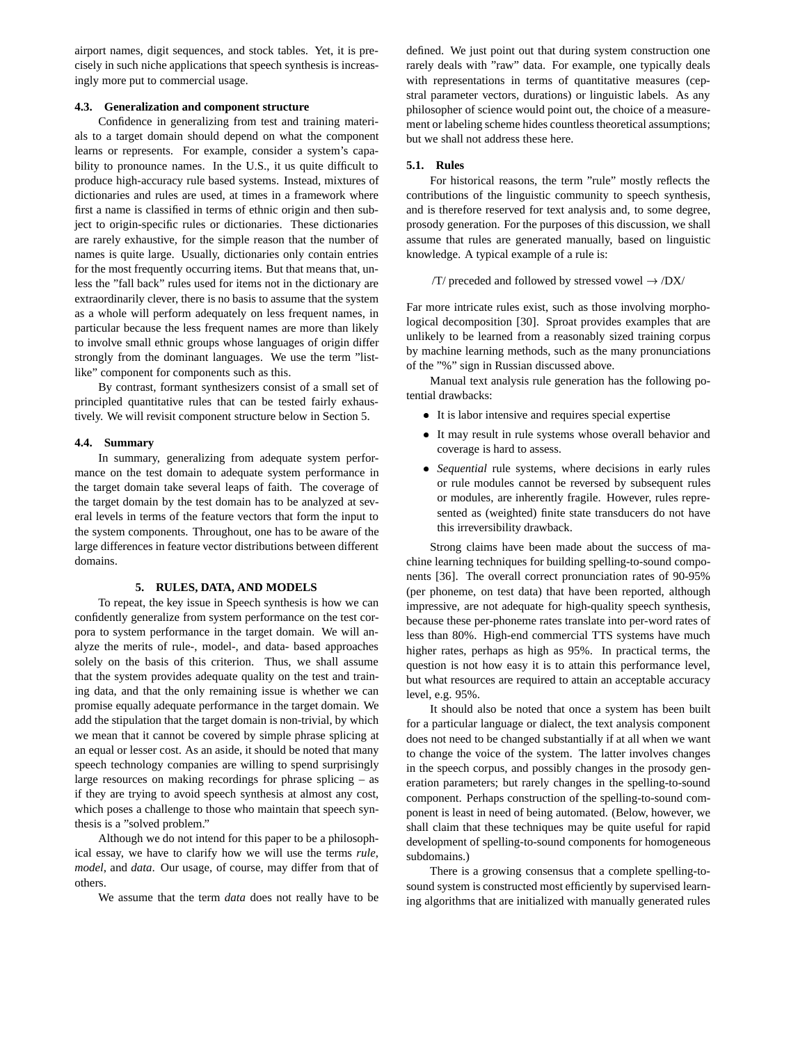airport names, digit sequences, and stock tables. Yet, it is precisely in such niche applications that speech synthesis is increasingly more put to commercial usage.

## **4.3. Generalization and component structure**

Confidence in generalizing from test and training materials to a target domain should depend on what the component learns or represents. For example, consider a system's capability to pronounce names. In the U.S., it us quite difficult to produce high-accuracy rule based systems. Instead, mixtures of dictionaries and rules are used, at times in a framework where first a name is classified in terms of ethnic origin and then subject to origin-specific rules or dictionaries. These dictionaries are rarely exhaustive, for the simple reason that the number of names is quite large. Usually, dictionaries only contain entries for the most frequently occurring items. But that means that, unless the "fall back" rules used for items not in the dictionary are extraordinarily clever, there is no basis to assume that the system as a whole will perform adequately on less frequent names, in particular because the less frequent names are more than likely to involve small ethnic groups whose languages of origin differ strongly from the dominant languages. We use the term "listlike" component for components such as this.

By contrast, formant synthesizers consist of a small set of principled quantitative rules that can be tested fairly exhaustively. We will revisit component structure below in Section 5.

## **4.4. Summary**

In summary, generalizing from adequate system performance on the test domain to adequate system performance in the target domain take several leaps of faith. The coverage of the target domain by the test domain has to be analyzed at several levels in terms of the feature vectors that form the input to the system components. Throughout, one has to be aware of the large differences in feature vector distributions between different domains.

## **5. RULES, DATA, AND MODELS**

To repeat, the key issue in Speech synthesis is how we can confidently generalize from system performance on the test corpora to system performance in the target domain. We will analyze the merits of rule-, model-, and data- based approaches solely on the basis of this criterion. Thus, we shall assume that the system provides adequate quality on the test and training data, and that the only remaining issue is whether we can promise equally adequate performance in the target domain. We add the stipulation that the target domain is non-trivial, by which we mean that it cannot be covered by simple phrase splicing at an equal or lesser cost. As an aside, it should be noted that many speech technology companies are willing to spend surprisingly large resources on making recordings for phrase splicing – as if they are trying to avoid speech synthesis at almost any cost, which poses a challenge to those who maintain that speech synthesis is a "solved problem."

Although we do not intend for this paper to be a philosophical essay, we have to clarify how we will use the terms *rule*, *model*, and *data*. Our usage, of course, may differ from that of others.

We assume that the term *data* does not really have to be

defined. We just point out that during system construction one rarely deals with "raw" data. For example, one typically deals with representations in terms of quantitative measures (cepstral parameter vectors, durations) or linguistic labels. As any philosopher of science would point out, the choice of a measurement or labeling scheme hides countless theoretical assumptions; but we shall not address these here.

#### **5.1. Rules**

For historical reasons, the term "rule" mostly reflects the contributions of the linguistic community to speech synthesis, and is therefore reserved for text analysis and, to some degree, prosody generation. For the purposes of this discussion, we shall assume that rules are generated manually, based on linguistic knowledge. A typical example of a rule is:

## /T/ preceded and followed by stressed vowel  $\rightarrow$  /DX/

Far more intricate rules exist, such as those involving morphological decomposition [30]. Sproat provides examples that are unlikely to be learned from a reasonably sized training corpus by machine learning methods, such as the many pronunciations of the "%" sign in Russian discussed above.

Manual text analysis rule generation has the following potential drawbacks:

- It is labor intensive and requires special expertise
- It may result in rule systems whose overall behavior and coverage is hard to assess.
- *Sequential* rule systems, where decisions in early rules or rule modules cannot be reversed by subsequent rules or modules, are inherently fragile. However, rules represented as (weighted) finite state transducers do not have this irreversibility drawback.

Strong claims have been made about the success of machine learning techniques for building spelling-to-sound components [36]. The overall correct pronunciation rates of 90-95% (per phoneme, on test data) that have been reported, although impressive, are not adequate for high-quality speech synthesis, because these per-phoneme rates translate into per-word rates of less than 80%. High-end commercial TTS systems have much higher rates, perhaps as high as 95%. In practical terms, the question is not how easy it is to attain this performance level, but what resources are required to attain an acceptable accuracy level, e.g. 95%.

It should also be noted that once a system has been built for a particular language or dialect, the text analysis component does not need to be changed substantially if at all when we want to change the voice of the system. The latter involves changes in the speech corpus, and possibly changes in the prosody generation parameters; but rarely changes in the spelling-to-sound component. Perhaps construction of the spelling-to-sound component is least in need of being automated. (Below, however, we shall claim that these techniques may be quite useful for rapid development of spelling-to-sound components for homogeneous subdomains.)

There is a growing consensus that a complete spelling-tosound system is constructed most efficiently by supervised learning algorithms that are initialized with manually generated rules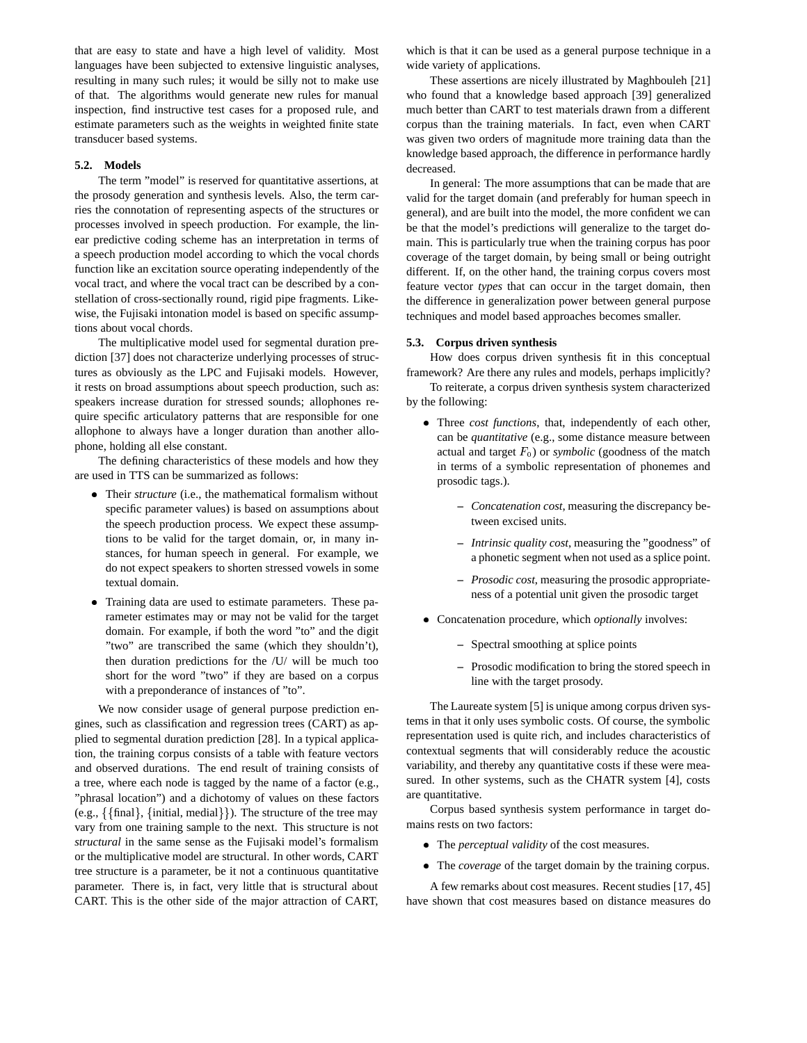that are easy to state and have a high level of validity. Most languages have been subjected to extensive linguistic analyses, resulting in many such rules; it would be silly not to make use of that. The algorithms would generate new rules for manual inspection, find instructive test cases for a proposed rule, and estimate parameters such as the weights in weighted finite state transducer based systems.

#### **5.2. Models**

The term "model" is reserved for quantitative assertions, at the prosody generation and synthesis levels. Also, the term carries the connotation of representing aspects of the structures or processes involved in speech production. For example, the linear predictive coding scheme has an interpretation in terms of a speech production model according to which the vocal chords function like an excitation source operating independently of the vocal tract, and where the vocal tract can be described by a constellation of cross-sectionally round, rigid pipe fragments. Likewise, the Fujisaki intonation model is based on specific assumptions about vocal chords.

The multiplicative model used for segmental duration prediction [37] does not characterize underlying processes of structures as obviously as the LPC and Fujisaki models. However, it rests on broad assumptions about speech production, such as: speakers increase duration for stressed sounds; allophones require specific articulatory patterns that are responsible for one allophone to always have a longer duration than another allophone, holding all else constant.

The defining characteristics of these models and how they are used in TTS can be summarized as follows:

- Their *structure* (i.e., the mathematical formalism without specific parameter values) is based on assumptions about the speech production process. We expect these assumptions to be valid for the target domain, or, in many instances, for human speech in general. For example, we do not expect speakers to shorten stressed vowels in some textual domain.
- Training data are used to estimate parameters. These parameter estimates may or may not be valid for the target domain. For example, if both the word "to" and the digit "two" are transcribed the same (which they shouldn't), then duration predictions for the /U/ will be much too short for the word "two" if they are based on a corpus with a preponderance of instances of "to".

We now consider usage of general purpose prediction engines, such as classification and regression trees (CART) as applied to segmental duration prediction [28]. In a typical application, the training corpus consists of a table with feature vectors and observed durations. The end result of training consists of a tree, where each node is tagged by the name of a factor (e.g., "phrasal location") and a dichotomy of values on these factors (e.g.,  $\{\{\text{final}\}, \{\text{initial}, \text{median}\}\}\$ ). The structure of the tree may vary from one training sample to the next. This structure is not *structural* in the same sense as the Fujisaki model's formalism or the multiplicative model are structural. In other words, CART tree structure is a parameter, be it not a continuous quantitative parameter. There is, in fact, very little that is structural about CART. This is the other side of the major attraction of CART,

which is that it can be used as a general purpose technique in a wide variety of applications.

These assertions are nicely illustrated by Maghbouleh [21] who found that a knowledge based approach [39] generalized much better than CART to test materials drawn from a different corpus than the training materials. In fact, even when CART was given two orders of magnitude more training data than the knowledge based approach, the difference in performance hardly decreased.

In general: The more assumptions that can be made that are valid for the target domain (and preferably for human speech in general), and are built into the model, the more confident we can be that the model's predictions will generalize to the target domain. This is particularly true when the training corpus has poor coverage of the target domain, by being small or being outright different. If, on the other hand, the training corpus covers most feature vector *types* that can occur in the target domain, then the difference in generalization power between general purpose techniques and model based approaches becomes smaller.

#### **5.3. Corpus driven synthesis**

How does corpus driven synthesis fit in this conceptual framework? Are there any rules and models, perhaps implicitly?

To reiterate, a corpus driven synthesis system characterized by the following:

- Three *cost functions*, that, independently of each other, can be *quantitative* (e.g., some distance measure between actual and target  $F_0$ ) or *symbolic* (goodness of the match in terms of a symbolic representation of phonemes and prosodic tags.).
	- **–** *Concatenation cost*, measuring the discrepancy between excised units.
	- **–** *Intrinsic quality cost*, measuring the "goodness" of a phonetic segment when not used as a splice point.
	- **–** *Prosodic cost*, measuring the prosodic appropriateness of a potential unit given the prosodic target
- Concatenation procedure, which *optionally* involves:
	- **–** Spectral smoothing at splice points
	- **–** Prosodic modification to bring the stored speech in line with the target prosody.

The Laureate system [5] is unique among corpus driven systems in that it only uses symbolic costs. Of course, the symbolic representation used is quite rich, and includes characteristics of contextual segments that will considerably reduce the acoustic variability, and thereby any quantitative costs if these were measured. In other systems, such as the CHATR system [4], costs are quantitative.

Corpus based synthesis system performance in target domains rests on two factors:

- The *perceptual validity* of the cost measures.
- The *coverage* of the target domain by the training corpus.

A few remarks about cost measures. Recent studies [17, 45] have shown that cost measures based on distance measures do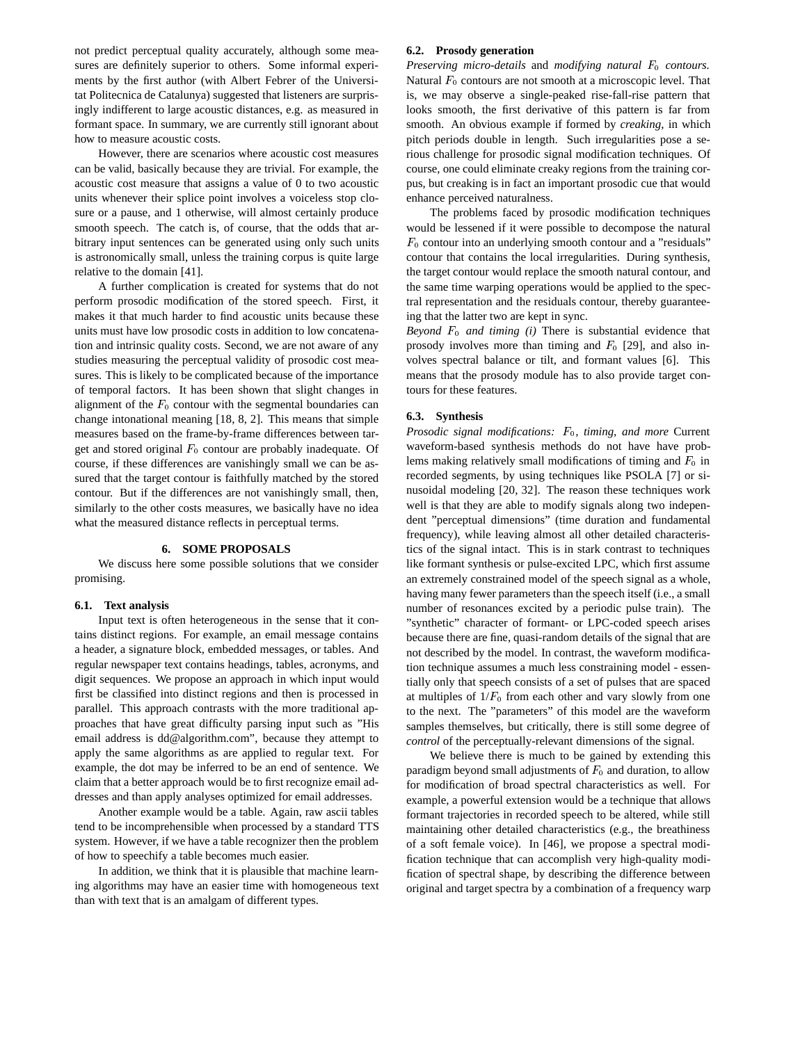not predict perceptual quality accurately, although some measures are definitely superior to others. Some informal experiments by the first author (with Albert Febrer of the Universitat Politecnica de Catalunya) suggested that listeners are surprisingly indifferent to large acoustic distances, e.g. as measured in formant space. In summary, we are currently still ignorant about how to measure acoustic costs.

However, there are scenarios where acoustic cost measures can be valid, basically because they are trivial. For example, the acoustic cost measure that assigns a value of 0 to two acoustic units whenever their splice point involves a voiceless stop closure or a pause, and 1 otherwise, will almost certainly produce smooth speech. The catch is, of course, that the odds that arbitrary input sentences can be generated using only such units is astronomically small, unless the training corpus is quite large relative to the domain [41].

A further complication is created for systems that do not perform prosodic modification of the stored speech. First, it makes it that much harder to find acoustic units because these units must have low prosodic costs in addition to low concatenation and intrinsic quality costs. Second, we are not aware of any studies measuring the perceptual validity of prosodic cost measures. This is likely to be complicated because of the importance of temporal factors. It has been shown that slight changes in alignment of the  $F_0$  contour with the segmental boundaries can change intonational meaning [18, 8, 2]. This means that simple measures based on the frame-by-frame differences between target and stored original  $F_0$  contour are probably inadequate. Of course, if these differences are vanishingly small we can be assured that the target contour is faithfully matched by the stored contour. But if the differences are not vanishingly small, then, similarly to the other costs measures, we basically have no idea what the measured distance reflects in perceptual terms.

## **6. SOME PROPOSALS**

We discuss here some possible solutions that we consider promising.

#### **6.1. Text analysis**

Input text is often heterogeneous in the sense that it contains distinct regions. For example, an email message contains a header, a signature block, embedded messages, or tables. And regular newspaper text contains headings, tables, acronyms, and digit sequences. We propose an approach in which input would first be classified into distinct regions and then is processed in parallel. This approach contrasts with the more traditional approaches that have great difficulty parsing input such as "His email address is dd@algorithm.com", because they attempt to apply the same algorithms as are applied to regular text. For example, the dot may be inferred to be an end of sentence. We claim that a better approach would be to first recognize email addresses and than apply analyses optimized for email addresses.

Another example would be a table. Again, raw ascii tables tend to be incomprehensible when processed by a standard TTS system. However, if we have a table recognizer then the problem of how to speechify a table becomes much easier.

In addition, we think that it is plausible that machine learning algorithms may have an easier time with homogeneous text than with text that is an amalgam of different types.

## **6.2. Prosody generation**

*Preserving micro-details* and *modifying natural*  $F_0$  *contours.* Natural  $F_0$  contours are not smooth at a microscopic level. That is, we may observe a single-peaked rise-fall-rise pattern that looks smooth, the first derivative of this pattern is far from smooth. An obvious example if formed by *creaking*, in which pitch periods double in length. Such irregularities pose a serious challenge for prosodic signal modification techniques. Of course, one could eliminate creaky regions from the training corpus, but creaking is in fact an important prosodic cue that would enhance perceived naturalness.

The problems faced by prosodic modification techniques would be lessened if it were possible to decompose the natural  $F_0$  contour into an underlying smooth contour and a "residuals" contour that contains the local irregularities. During synthesis, the target contour would replace the smooth natural contour, and the same time warping operations would be applied to the spectral representation and the residuals contour, thereby guaranteeing that the latter two are kept in sync.

*Beyond*  $F_0$  *and timing (i)* There is substantial evidence that prosody involves more than timing and  $F_0$  [29], and also involves spectral balance or tilt, and formant values [6]. This means that the prosody module has to also provide target contours for these features.

### **6.3. Synthesis**

*Prosodic signal modifications:*  $F_0$ *, timing, and more* Current waveform-based synthesis methods do not have have problems making relatively small modifications of timing and  $F_0$  in recorded segments, by using techniques like PSOLA [7] or sinusoidal modeling [20, 32]. The reason these techniques work well is that they are able to modify signals along two independent "perceptual dimensions" (time duration and fundamental frequency), while leaving almost all other detailed characteristics of the signal intact. This is in stark contrast to techniques like formant synthesis or pulse-excited LPC, which first assume an extremely constrained model of the speech signal as a whole, having many fewer parameters than the speech itself (i.e., a small number of resonances excited by a periodic pulse train). The "synthetic" character of formant- or LPC-coded speech arises because there are fine, quasi-random details of the signal that are not described by the model. In contrast, the waveform modification technique assumes a much less constraining model - essentially only that speech consists of a set of pulses that are spaced at multiples of  $1/F_0$  from each other and vary slowly from one to the next. The "parameters" of this model are the waveform samples themselves, but critically, there is still some degree of *control* of the perceptually-relevant dimensions of the signal.

We believe there is much to be gained by extending this paradigm beyond small adjustments of  $F_0$  and duration, to allow for modification of broad spectral characteristics as well. For example, a powerful extension would be a technique that allows formant trajectories in recorded speech to be altered, while still maintaining other detailed characteristics (e.g., the breathiness of a soft female voice). In [46], we propose a spectral modification technique that can accomplish very high-quality modification of spectral shape, by describing the difference between original and target spectra by a combination of a frequency warp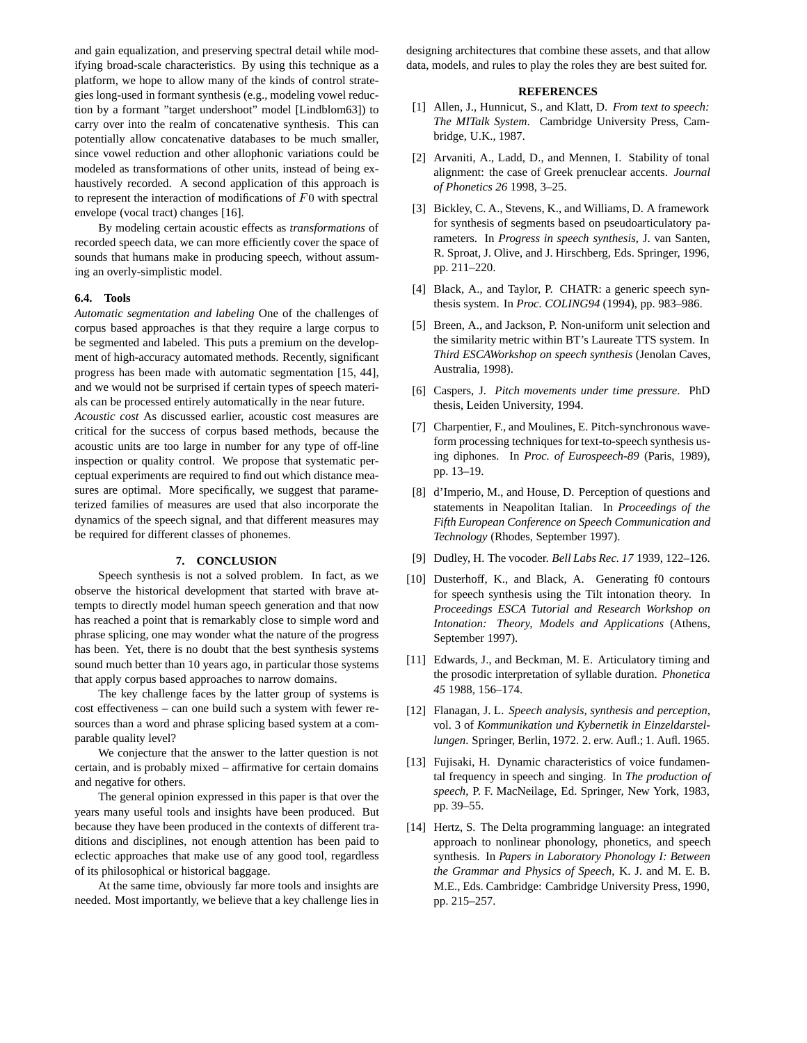and gain equalization, and preserving spectral detail while modifying broad-scale characteristics. By using this technique as a platform, we hope to allow many of the kinds of control strategies long-used in formant synthesis (e.g., modeling vowel reduction by a formant "target undershoot" model [Lindblom63]) to carry over into the realm of concatenative synthesis. This can potentially allow concatenative databases to be much smaller, since vowel reduction and other allophonic variations could be modeled as transformations of other units, instead of being exhaustively recorded. A second application of this approach is to represent the interaction of modifications of  $F_0$  with spectral envelope (vocal tract) changes [16].

By modeling certain acoustic effects as *transformations* of recorded speech data, we can more efficiently cover the space of sounds that humans make in producing speech, without assuming an overly-simplistic model.

#### **6.4. Tools**

*Automatic segmentation and labeling* One of the challenges of corpus based approaches is that they require a large corpus to be segmented and labeled. This puts a premium on the development of high-accuracy automated methods. Recently, significant progress has been made with automatic segmentation [15, 44], and we would not be surprised if certain types of speech materials can be processed entirely automatically in the near future.

*Acoustic cost* As discussed earlier, acoustic cost measures are critical for the success of corpus based methods, because the acoustic units are too large in number for any type of off-line inspection or quality control. We propose that systematic perceptual experiments are required to find out which distance measures are optimal. More specifically, we suggest that parameterized families of measures are used that also incorporate the dynamics of the speech signal, and that different measures may be required for different classes of phonemes.

#### **7. CONCLUSION**

Speech synthesis is not a solved problem. In fact, as we observe the historical development that started with brave attempts to directly model human speech generation and that now has reached a point that is remarkably close to simple word and phrase splicing, one may wonder what the nature of the progress has been. Yet, there is no doubt that the best synthesis systems sound much better than 10 years ago, in particular those systems that apply corpus based approaches to narrow domains.

The key challenge faces by the latter group of systems is cost effectiveness – can one build such a system with fewer resources than a word and phrase splicing based system at a comparable quality level?

We conjecture that the answer to the latter question is not certain, and is probably mixed – affirmative for certain domains and negative for others.

The general opinion expressed in this paper is that over the years many useful tools and insights have been produced. But because they have been produced in the contexts of different traditions and disciplines, not enough attention has been paid to eclectic approaches that make use of any good tool, regardless of its philosophical or historical baggage.

At the same time, obviously far more tools and insights are needed. Most importantly, we believe that a key challenge lies in designing architectures that combine these assets, and that allow data, models, and rules to play the roles they are best suited for.

#### **REFERENCES**

- [1] Allen, J., Hunnicut, S., and Klatt, D. *From text to speech: The MITalk System*. Cambridge University Press, Cambridge, U.K., 1987.
- [2] Arvaniti, A., Ladd, D., and Mennen, I. Stability of tonal alignment: the case of Greek prenuclear accents. *Journal of Phonetics 26* 1998, 3–25.
- [3] Bickley, C. A., Stevens, K., and Williams, D. A framework for synthesis of segments based on pseudoarticulatory parameters. In *Progress in speech synthesis*, J. van Santen, R. Sproat, J. Olive, and J. Hirschberg, Eds. Springer, 1996, pp. 211–220.
- [4] Black, A., and Taylor, P. CHATR: a generic speech synthesis system. In *Proc. COLING94* (1994), pp. 983–986.
- [5] Breen, A., and Jackson, P. Non-uniform unit selection and the similarity metric within BT's Laureate TTS system. In *Third ESCAWorkshop on speech synthesis* (Jenolan Caves, Australia, 1998).
- [6] Caspers, J. *Pitch movements under time pressure*. PhD thesis, Leiden University, 1994.
- [7] Charpentier, F., and Moulines, E. Pitch-synchronous waveform processing techniques for text-to-speech synthesis using diphones. In *Proc. of Eurospeech-89* (Paris, 1989), pp. 13–19.
- [8] d'Imperio, M., and House, D. Perception of questions and statements in Neapolitan Italian. In *Proceedings of the Fifth European Conference on Speech Communication and Technology* (Rhodes, September 1997).
- [9] Dudley, H. The vocoder. *Bell Labs Rec. 17* 1939, 122–126.
- [10] Dusterhoff, K., and Black, A. Generating f0 contours for speech synthesis using the Tilt intonation theory. In *Proceedings ESCA Tutorial and Research Workshop on Intonation: Theory, Models and Applications* (Athens, September 1997).
- [11] Edwards, J., and Beckman, M. E. Articulatory timing and the prosodic interpretation of syllable duration. *Phonetica 45* 1988, 156–174.
- [12] Flanagan, J. L. *Speech analysis, synthesis and perception*, vol. 3 of *Kommunikation und Kybernetik in Einzeldarstellungen*. Springer, Berlin, 1972. 2. erw. Aufl.; 1. Aufl. 1965.
- [13] Fujisaki, H. Dynamic characteristics of voice fundamental frequency in speech and singing. In *The production of speech*, P. F. MacNeilage, Ed. Springer, New York, 1983, pp. 39–55.
- [14] Hertz, S. The Delta programming language: an integrated approach to nonlinear phonology, phonetics, and speech synthesis. In *Papers in Laboratory Phonology I: Between the Grammar and Physics of Speech*, K. J. and M. E. B. M.E., Eds. Cambridge: Cambridge University Press, 1990, pp. 215–257.